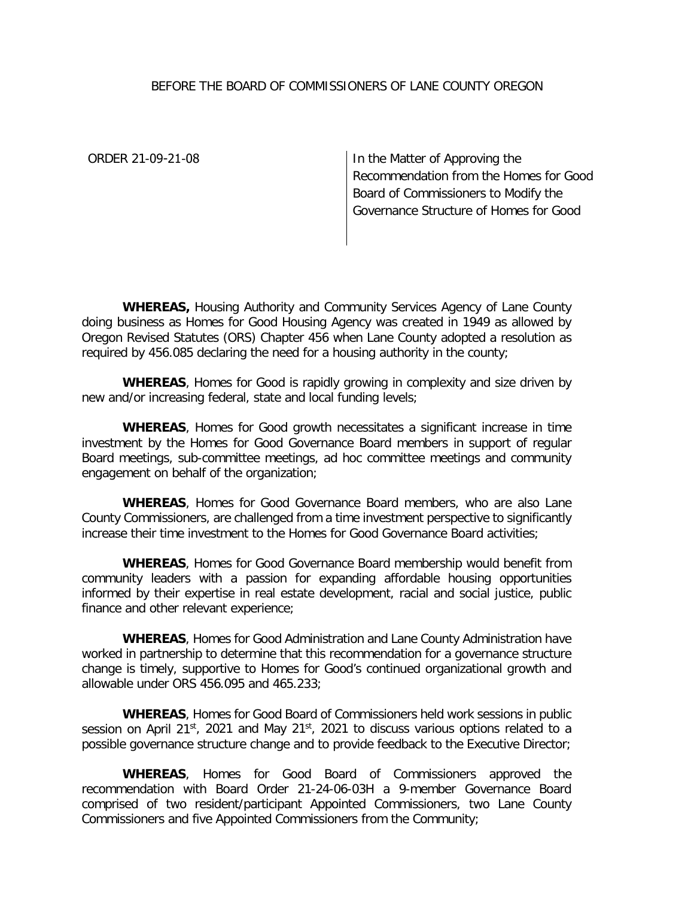## BEFORE THE BOARD OF COMMISSIONERS OF LANE COUNTY OREGON

ORDER 21-09-21-08 In the Matter of Approving the Recommendation from the Homes for Good Board of Commissioners to Modify the Governance Structure of Homes for Good

**WHEREAS,** Housing Authority and Community Services Agency of Lane County doing business as Homes for Good Housing Agency was created in 1949 as allowed by Oregon Revised Statutes (ORS) Chapter 456 when Lane County adopted a resolution as required by 456.085 declaring the need for a housing authority in the county;

**WHEREAS**, Homes for Good is rapidly growing in complexity and size driven by new and/or increasing federal, state and local funding levels;

**WHEREAS**, Homes for Good growth necessitates a significant increase in time investment by the Homes for Good Governance Board members in support of regular Board meetings, sub-committee meetings, ad hoc committee meetings and community engagement on behalf of the organization;

**WHEREAS**, Homes for Good Governance Board members, who are also Lane County Commissioners, are challenged from a time investment perspective to significantly increase their time investment to the Homes for Good Governance Board activities;

**WHEREAS**, Homes for Good Governance Board membership would benefit from community leaders with a passion for expanding affordable housing opportunities informed by their expertise in real estate development, racial and social justice, public finance and other relevant experience;

**WHEREAS**, Homes for Good Administration and Lane County Administration have worked in partnership to determine that this recommendation for a governance structure change is timely, supportive to Homes for Good's continued organizational growth and allowable under ORS 456.095 and 465.233;

**WHEREAS**, Homes for Good Board of Commissioners held work sessions in public session on April 21st, 2021 and May 21st, 2021 to discuss various options related to a possible governance structure change and to provide feedback to the Executive Director;

**WHEREAS**, Homes for Good Board of Commissioners approved the recommendation with Board Order 21-24-06-03H a 9-member Governance Board comprised of two resident/participant Appointed Commissioners, two Lane County Commissioners and five Appointed Commissioners from the Community;